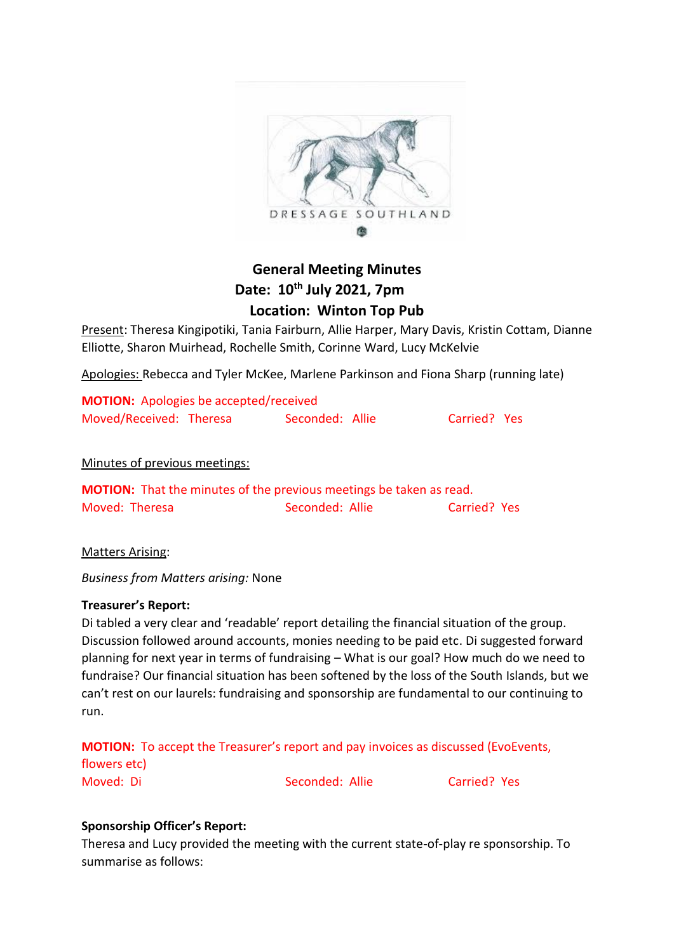

# **General Meeting Minutes Date: 10th July 2021, 7pm Location: Winton Top Pub**

Present: Theresa Kingipotiki, Tania Fairburn, Allie Harper, Mary Davis, Kristin Cottam, Dianne Elliotte, Sharon Muirhead, Rochelle Smith, Corinne Ward, Lucy McKelvie

Apologies: Rebecca and Tyler McKee, Marlene Parkinson and Fiona Sharp (running late)

| <b>MOTION:</b> Apologies be accepted/received |                 |              |  |
|-----------------------------------------------|-----------------|--------------|--|
| Moved/Received: Theresa                       | Seconded: Allie | Carried? Yes |  |

# Minutes of previous meetings:

| <b>MOTION:</b> That the minutes of the previous meetings be taken as read. |                 |              |  |
|----------------------------------------------------------------------------|-----------------|--------------|--|
| Moved: Theresa                                                             | Seconded: Allie | Carried? Yes |  |

Matters Arising:

*Business from Matters arising:* None

# **Treasurer's Report:**

Di tabled a very clear and 'readable' report detailing the financial situation of the group. Discussion followed around accounts, monies needing to be paid etc. Di suggested forward planning for next year in terms of fundraising – What is our goal? How much do we need to fundraise? Our financial situation has been softened by the loss of the South Islands, but we can't rest on our laurels: fundraising and sponsorship are fundamental to our continuing to run.

**MOTION:** To accept the Treasurer's report and pay invoices as discussed (EvoEvents,

flowers etc)

Moved: Di Seconded: Allie Carried? Yes

# **Sponsorship Officer's Report:**

Theresa and Lucy provided the meeting with the current state-of-play re sponsorship. To summarise as follows: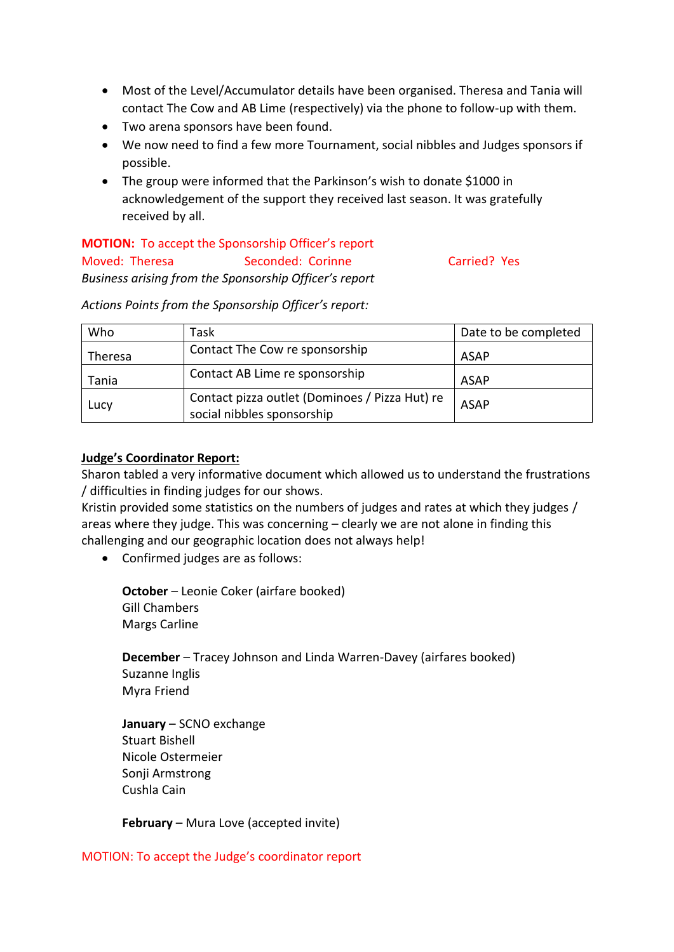- Most of the Level/Accumulator details have been organised. Theresa and Tania will contact The Cow and AB Lime (respectively) via the phone to follow-up with them.
- Two arena sponsors have been found.
- We now need to find a few more Tournament, social nibbles and Judges sponsors if possible.
- The group were informed that the Parkinson's wish to donate \$1000 in acknowledgement of the support they received last season. It was gratefully received by all.

# **MOTION:** To accept the Sponsorship Officer's report Moved: Theresa Seconded: Corinne Carried? Yes *Business arising from the Sponsorship Officer's report*

*Actions Points from the Sponsorship Officer's report:*

| Who            | Task                                                                         | Date to be completed |
|----------------|------------------------------------------------------------------------------|----------------------|
| <b>Theresa</b> | Contact The Cow re sponsorship                                               | <b>ASAP</b>          |
| Tania          | Contact AB Lime re sponsorship                                               | <b>ASAP</b>          |
| Lucy           | Contact pizza outlet (Dominoes / Pizza Hut) re<br>social nibbles sponsorship | <b>ASAP</b>          |

# **Judge's Coordinator Report:**

Sharon tabled a very informative document which allowed us to understand the frustrations / difficulties in finding judges for our shows.

Kristin provided some statistics on the numbers of judges and rates at which they judges / areas where they judge. This was concerning – clearly we are not alone in finding this challenging and our geographic location does not always help!

• Confirmed judges are as follows:

**October** – Leonie Coker (airfare booked) Gill Chambers Margs Carline

**December** – Tracey Johnson and Linda Warren-Davey (airfares booked) Suzanne Inglis Myra Friend

**January** – SCNO exchange Stuart Bishell Nicole Ostermeier Sonii Armstrong Cushla Cain

**February** – Mura Love (accepted invite)

#### MOTION: To accept the Judge's coordinator report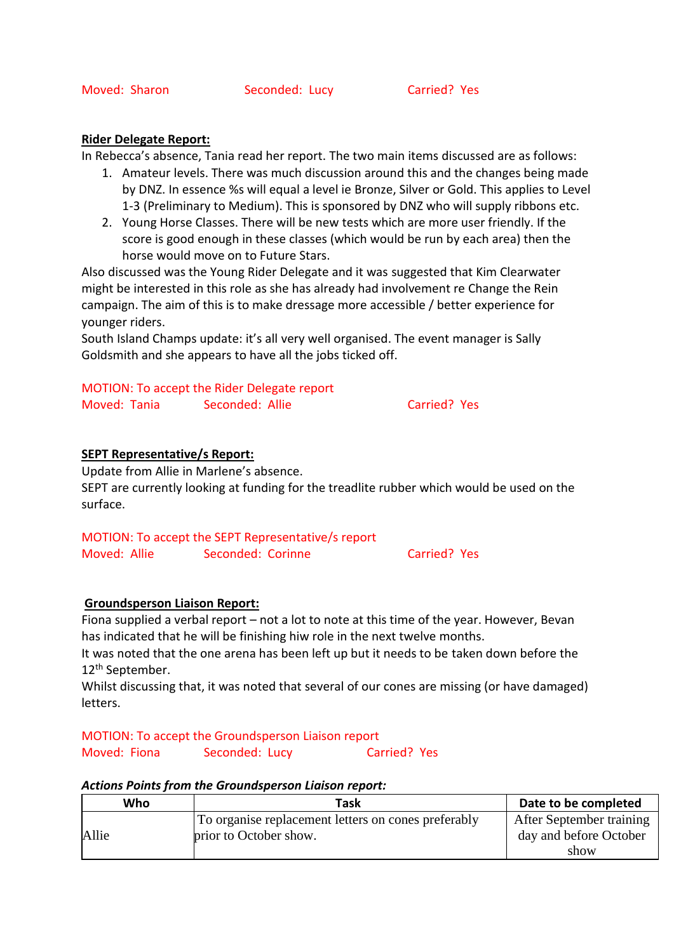#### **Rider Delegate Report:**

In Rebecca's absence, Tania read her report. The two main items discussed are as follows:

- 1. Amateur levels. There was much discussion around this and the changes being made by DNZ. In essence %s will equal a level ie Bronze, Silver or Gold. This applies to Level 1-3 (Preliminary to Medium). This is sponsored by DNZ who will supply ribbons etc.
- 2. Young Horse Classes. There will be new tests which are more user friendly. If the score is good enough in these classes (which would be run by each area) then the horse would move on to Future Stars.

Also discussed was the Young Rider Delegate and it was suggested that Kim Clearwater might be interested in this role as she has already had involvement re Change the Rein campaign. The aim of this is to make dressage more accessible / better experience for younger riders.

South Island Champs update: it's all very well organised. The event manager is Sally Goldsmith and she appears to have all the jobs ticked off.

MOTION: To accept the Rider Delegate report Moved: Tania Seconded: Allie Carried? Yes

# **SEPT Representative/s Report:**

Update from Allie in Marlene's absence. SEPT are currently looking at funding for the treadlite rubber which would be used on the surface.

MOTION: To accept the SEPT Representative/s report Moved: Allie Seconded: Corinne Carried? Yes

# **Groundsperson Liaison Report:**

Fiona supplied a verbal report – not a lot to note at this time of the year. However, Bevan has indicated that he will be finishing hiw role in the next twelve months.

It was noted that the one arena has been left up but it needs to be taken down before the 12th September.

Whilst discussing that, it was noted that several of our cones are missing (or have damaged) letters.

MOTION: To accept the Groundsperson Liaison report

Moved: Fiona Seconded: Lucy Carried? Yes

#### *Actions Points from the Groundsperson Liaison report:*

| Who   | Task                                                | Date to be completed     |
|-------|-----------------------------------------------------|--------------------------|
|       | To organise replacement letters on cones preferably | After September training |
| Allie | prior to October show.                              | day and before October   |
|       |                                                     | show                     |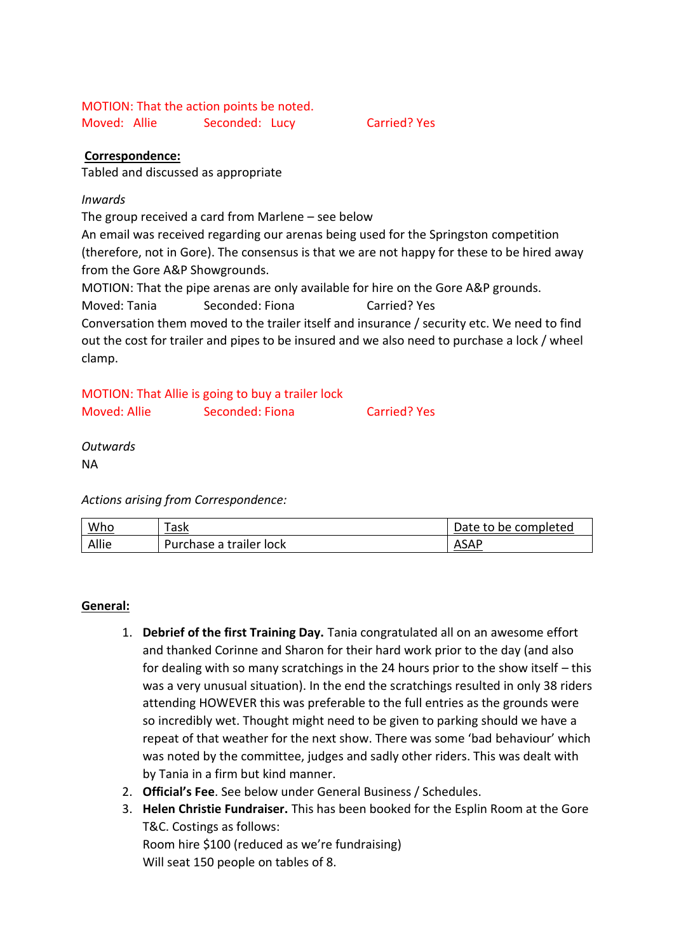MOTION: That the action points be noted. Moved: Allie Seconded: Lucy Carried? Yes

# **Correspondence:**

Tabled and discussed as appropriate

#### *Inwards*

The group received a card from Marlene – see below

An email was received regarding our arenas being used for the Springston competition (therefore, not in Gore). The consensus is that we are not happy for these to be hired away from the Gore A&P Showgrounds.

MOTION: That the pipe arenas are only available for hire on the Gore A&P grounds.

Moved: Tania Seconded: Fiona Carried? Yes

Conversation them moved to the trailer itself and insurance / security etc. We need to find out the cost for trailer and pipes to be insured and we also need to purchase a lock / wheel clamp.

|              | MOTION: That Allie is going to buy a trailer lock |                     |
|--------------|---------------------------------------------------|---------------------|
| Moved: Allie | Seconded: Fiona                                   | <b>Carried? Yes</b> |

*Outwards* NA

*Actions arising from Correspondence:*

| Who   | Task                    | Date to be completed |
|-------|-------------------------|----------------------|
| Allie | Purchase a trailer lock | ASAP                 |

# **General:**

- 1. **Debrief of the first Training Day.** Tania congratulated all on an awesome effort and thanked Corinne and Sharon for their hard work prior to the day (and also for dealing with so many scratchings in the 24 hours prior to the show itself – this was a very unusual situation). In the end the scratchings resulted in only 38 riders attending HOWEVER this was preferable to the full entries as the grounds were so incredibly wet. Thought might need to be given to parking should we have a repeat of that weather for the next show. There was some 'bad behaviour' which was noted by the committee, judges and sadly other riders. This was dealt with by Tania in a firm but kind manner.
- 2. **Official's Fee**. See below under General Business / Schedules.
- 3. **Helen Christie Fundraiser.** This has been booked for the Esplin Room at the Gore T&C. Costings as follows: Room hire \$100 (reduced as we're fundraising)

Will seat 150 people on tables of 8.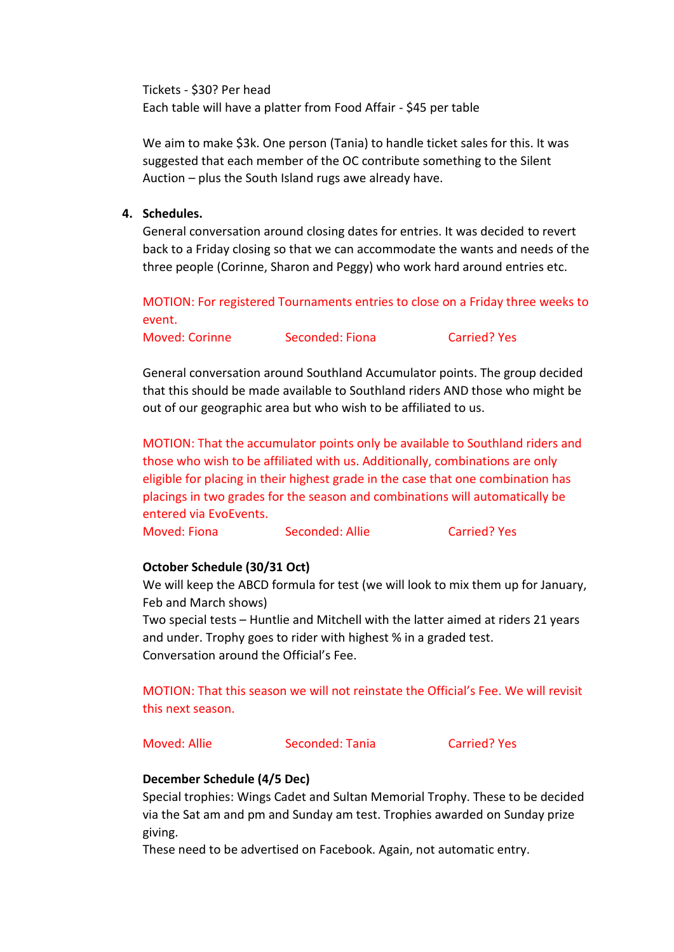Tickets - \$30? Per head Each table will have a platter from Food Affair - \$45 per table

We aim to make \$3k. One person (Tania) to handle ticket sales for this. It was suggested that each member of the OC contribute something to the Silent Auction – plus the South Island rugs awe already have.

#### **4. Schedules.**

General conversation around closing dates for entries. It was decided to revert back to a Friday closing so that we can accommodate the wants and needs of the three people (Corinne, Sharon and Peggy) who work hard around entries etc.

MOTION: For registered Tournaments entries to close on a Friday three weeks to event.

Moved: Corinne Seconded: Fiona Carried? Yes

General conversation around Southland Accumulator points. The group decided that this should be made available to Southland riders AND those who might be out of our geographic area but who wish to be affiliated to us.

MOTION: That the accumulator points only be available to Southland riders and those who wish to be affiliated with us. Additionally, combinations are only eligible for placing in their highest grade in the case that one combination has placings in two grades for the season and combinations will automatically be entered via EvoEvents.

Moved: Fiona Seconded: Allie Carried? Yes

# **October Schedule (30/31 Oct)**

We will keep the ABCD formula for test (we will look to mix them up for January, Feb and March shows)

Two special tests – Huntlie and Mitchell with the latter aimed at riders 21 years and under. Trophy goes to rider with highest % in a graded test. Conversation around the Official's Fee.

MOTION: That this season we will not reinstate the Official's Fee. We will revisit this next season.

Moved: Allie Seconded: Tania Carried? Yes

# **December Schedule (4/5 Dec)**

Special trophies: Wings Cadet and Sultan Memorial Trophy. These to be decided via the Sat am and pm and Sunday am test. Trophies awarded on Sunday prize giving.

These need to be advertised on Facebook. Again, not automatic entry.